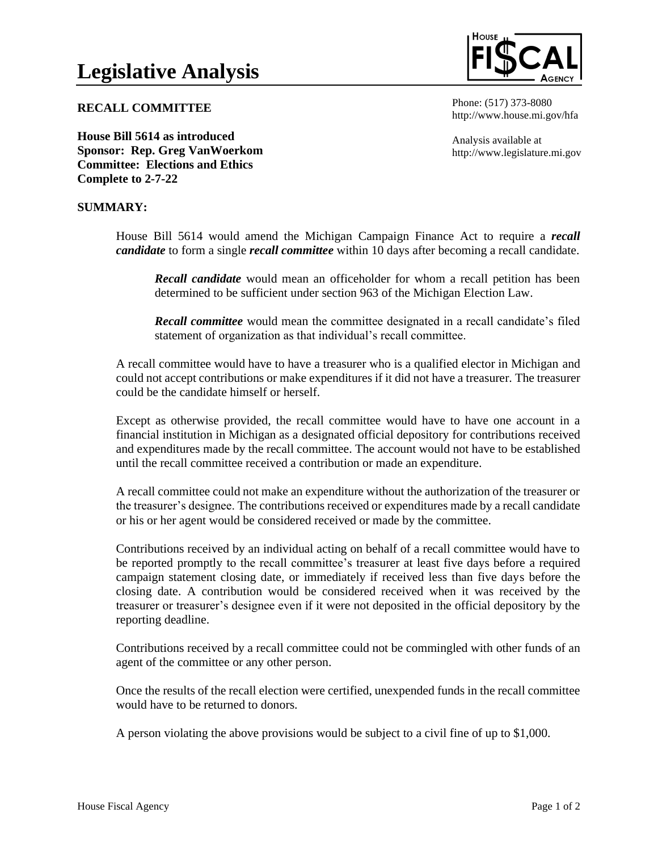**RECALL COMMITTEE**

**House Bill 5614 as introduced Sponsor: Rep. Greg VanWoerkom Committee: Elections and Ethics Complete to 2-7-22**

## **SUMMARY:**

House Bill 5614 would amend the Michigan Campaign Finance Act to require a *recall* 

*candidate* to form a single *recall committee* within 10 days after becoming a recall candidate.

*Recall candidate* would mean an officeholder for whom a recall petition has been determined to be sufficient under section 963 of the Michigan Election Law.

*Recall committee* would mean the committee designated in a recall candidate's filed statement of organization as that individual's recall committee.

A recall committee would have to have a treasurer who is a qualified elector in Michigan and could not accept contributions or make expenditures if it did not have a treasurer. The treasurer could be the candidate himself or herself.

Except as otherwise provided, the recall committee would have to have one account in a financial institution in Michigan as a designated official depository for contributions received and expenditures made by the recall committee. The account would not have to be established until the recall committee received a contribution or made an expenditure.

A recall committee could not make an expenditure without the authorization of the treasurer or the treasurer's designee. The contributions received or expenditures made by a recall candidate or his or her agent would be considered received or made by the committee.

Contributions received by an individual acting on behalf of a recall committee would have to be reported promptly to the recall committee's treasurer at least five days before a required campaign statement closing date, or immediately if received less than five days before the closing date. A contribution would be considered received when it was received by the treasurer or treasurer's designee even if it were not deposited in the official depository by the reporting deadline.

Contributions received by a recall committee could not be commingled with other funds of an agent of the committee or any other person.

Once the results of the recall election were certified, unexpended funds in the recall committee would have to be returned to donors.

A person violating the above provisions would be subject to a civil fine of up to \$1,000.



Phone: (517) 373-8080 http://www.house.mi.gov/hfa

Analysis available at http://www.legislature.mi.gov